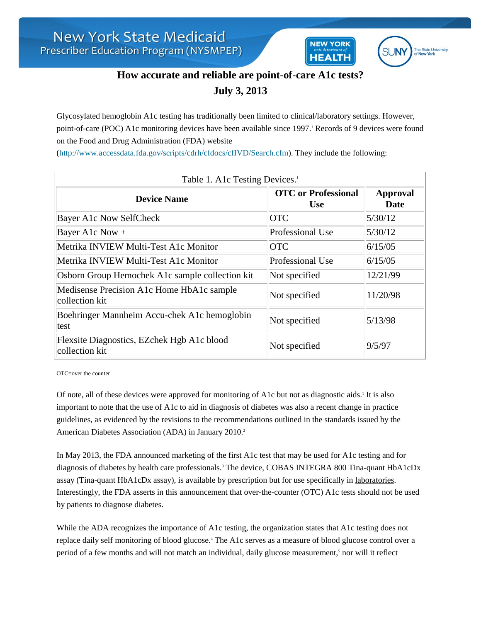

**NEW YORK** 

**HEALTH** 

## **How accurate and reliable are point-of-care A1c tests? July 3, 2013**

Glycosylated hemoglobin A1c testing has traditionally been limited to clinical/laboratory settings. However, point-of-care (POC) A1c monitoring devices have been available since 1997.<sup>1</sup> Records of 9 devices were found on the Food and Drug Administration (FDA) website

[\(http://www.accessdata.fda.gov/scripts/cdrh/cfdocs/cfIVD/Search.cfm\)](http://www.accessdata.fda.gov/scripts/cdrh/cfdocs/cfIVD/Search.cfm). They include the following:

| Table 1. A1c Testing Devices. <sup>1</sup>                   |                                          |                         |
|--------------------------------------------------------------|------------------------------------------|-------------------------|
| <b>Device Name</b>                                           | <b>OTC</b> or Professional<br><b>Use</b> | <b>Approval</b><br>Date |
| <b>Bayer A1c Now SelfCheck</b>                               | <b>OTC</b>                               | 5/30/12                 |
| Bayer A1c Now +                                              | Professional Use                         | 5/30/12                 |
| Metrika INVIEW Multi-Test A1c Monitor                        | <b>OTC</b>                               | 6/15/05                 |
| Metrika INVIEW Multi-Test A1c Monitor                        | Professional Use                         | 6/15/05                 |
| Osborn Group Hemochek A1c sample collection kit              | Not specified                            | 12/21/99                |
| Medisense Precision A1c Home HbA1c sample<br>collection kit  | Not specified                            | 11/20/98                |
| Boehringer Mannheim Accu-chek A1c hemoglobin<br>test         | Not specified                            | 5/13/98                 |
| Flexsite Diagnostics, EZchek Hgb A1c blood<br>collection kit | Not specified                            | 9/5/97                  |

OTC=over the counter

Of note, all of these devices were approved for monitoring of A1c but not as diagnostic aids.<sup>1</sup> It is also important to note that the use of A1c to aid in diagnosis of diabetes was also a recent change in practice guidelines, as evidenced by the revisions to the recommendations outlined in the standards issued by the American Diabetes Association (ADA) in January 2010.<sup>2</sup>

In May 2013, the FDA announced marketing of the first A1c test that may be used for A1c testing and for diagnosis of diabetes by health care professionals.<sup>3</sup> The device, COBAS INTEGRA 800 Tina-quant HbA1cDx assay (Tina-quant HbA1cDx assay), is available by prescription but for use specifically in laboratories. Interestingly, the FDA asserts in this announcement that over-the-counter (OTC) A1c tests should not be used by patients to diagnose diabetes.

While the ADA recognizes the importance of A1c testing, the organization states that A1c testing does not replace daily self monitoring of blood glucose.<sup>4</sup> The A1c serves as a measure of blood glucose control over a period of a few months and will not match an individual, daily glucose measurement,<sup>5</sup> nor will it reflect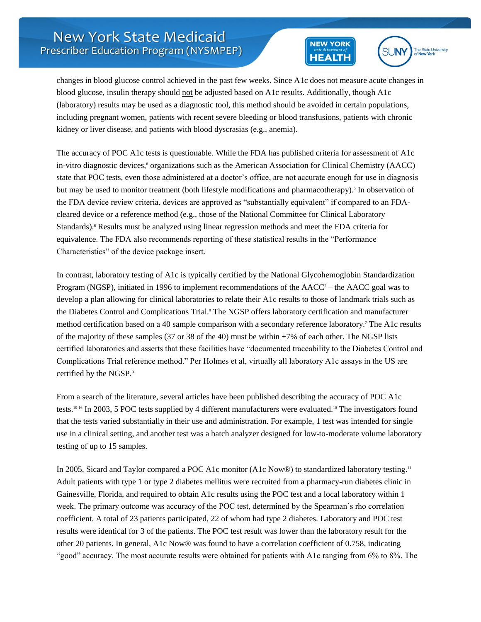



changes in blood glucose control achieved in the past few weeks. Since A1c does not measure acute changes in blood glucose, insulin therapy should not be adjusted based on A1c results. Additionally, though A1c (laboratory) results may be used as a diagnostic tool, this method should be avoided in certain populations, including pregnant women, patients with recent severe bleeding or blood transfusions, patients with chronic kidney or liver disease, and patients with blood dyscrasias (e.g., anemia).

The accuracy of POC A1c tests is questionable. While the FDA has published criteria for assessment of A1c in-vitro diagnostic devices,<sup>6</sup> organizations such as the American Association for Clinical Chemistry (AACC) state that POC tests, even those administered at a doctor's office, are not accurate enough for use in diagnosis but may be used to monitor treatment (both lifestyle modifications and pharmacotherapy).<sup>5</sup> In observation of the FDA device review criteria, devices are approved as "substantially equivalent" if compared to an FDAcleared device or a reference method (e.g., those of the National Committee for Clinical Laboratory Standards).<sup>6</sup> Results must be analyzed using linear regression methods and meet the FDA criteria for equivalence. The FDA also recommends reporting of these statistical results in the "Performance Characteristics" of the device package insert.

In contrast, laboratory testing of A1c is typically certified by the National Glycohemoglobin Standardization Program (NGSP), initiated in 1996 to implement recommendations of the  $AACC<sup>7</sup>$  – the AACC goal was to develop a plan allowing for clinical laboratories to relate their A1c results to those of landmark trials such as the Diabetes Control and Complications Trial.<sup>8</sup> The NGSP offers laboratory certification and manufacturer method certification based on a 40 sample comparison with a secondary reference laboratory.<sup>7</sup> The A1c results of the majority of these samples (37 or 38 of the 40) must be within ±7% of each other. The NGSP lists certified laboratories and asserts that these facilities have "documented traceability to the Diabetes Control and Complications Trial reference method." Per Holmes et al, virtually all laboratory A1c assays in the US are certified by the NGSP.<sup>9</sup>

From a search of the literature, several articles have been published describing the accuracy of POC A1c tests.10-16 In 2003, 5 POC tests supplied by 4 different manufacturers were evaluated.<sup>10</sup> The investigators found that the tests varied substantially in their use and administration. For example, 1 test was intended for single use in a clinical setting, and another test was a batch analyzer designed for low-to-moderate volume laboratory testing of up to 15 samples.

In 2005, Sicard and Taylor compared a POC A1c monitor (A1c Now®) to standardized laboratory testing.<sup>11</sup> Adult patients with type 1 or type 2 diabetes mellitus were recruited from a pharmacy-run diabetes clinic in Gainesville, Florida, and required to obtain A1c results using the POC test and a local laboratory within 1 week. The primary outcome was accuracy of the POC test, determined by the Spearman's rho correlation coefficient. A total of 23 patients participated, 22 of whom had type 2 diabetes. Laboratory and POC test results were identical for 3 of the patients. The POC test result was lower than the laboratory result for the other 20 patients. In general, A1c Now® was found to have a correlation coefficient of 0.758, indicating "good" accuracy. The most accurate results were obtained for patients with A1c ranging from 6% to 8%. The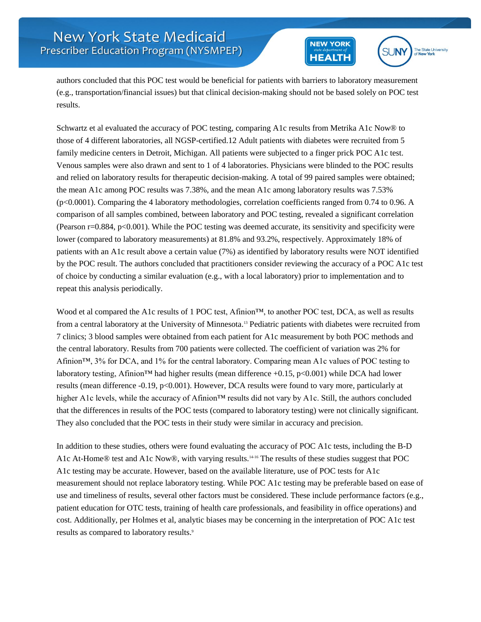



authors concluded that this POC test would be beneficial for patients with barriers to laboratory measurement (e.g., transportation/financial issues) but that clinical decision-making should not be based solely on POC test results.

Schwartz et al evaluated the accuracy of POC testing, comparing A1c results from Metrika A1c Now® to those of 4 different laboratories, all NGSP-certified.12 Adult patients with diabetes were recruited from 5 family medicine centers in Detroit, Michigan. All patients were subjected to a finger prick POC A1c test. Venous samples were also drawn and sent to 1 of 4 laboratories. Physicians were blinded to the POC results and relied on laboratory results for therapeutic decision-making. A total of 99 paired samples were obtained; the mean A1c among POC results was 7.38%, and the mean A1c among laboratory results was 7.53% (p<0.0001). Comparing the 4 laboratory methodologies, correlation coefficients ranged from 0.74 to 0.96. A comparison of all samples combined, between laboratory and POC testing, revealed a significant correlation (Pearson r=0.884, p<0.001). While the POC testing was deemed accurate, its sensitivity and specificity were lower (compared to laboratory measurements) at 81.8% and 93.2%, respectively. Approximately 18% of patients with an A1c result above a certain value (7%) as identified by laboratory results were NOT identified by the POC result. The authors concluded that practitioners consider reviewing the accuracy of a POC A1c test of choice by conducting a similar evaluation (e.g., with a local laboratory) prior to implementation and to repeat this analysis periodically.

Wood et al compared the A1c results of 1 POC test, Afinion™, to another POC test, DCA, as well as results from a central laboratory at the University of Minnesota.<sup>13</sup> Pediatric patients with diabetes were recruited from 7 clinics; 3 blood samples were obtained from each patient for A1c measurement by both POC methods and the central laboratory. Results from 700 patients were collected. The coefficient of variation was 2% for Afinion™, 3% for DCA, and 1% for the central laboratory. Comparing mean A1c values of POC testing to laboratory testing, Afinion<sup>™</sup> had higher results (mean difference +0.15, p<0.001) while DCA had lower results (mean difference -0.19, p<0.001). However, DCA results were found to vary more, particularly at higher A1c levels, while the accuracy of Afinion™ results did not vary by A1c. Still, the authors concluded that the differences in results of the POC tests (compared to laboratory testing) were not clinically significant. They also concluded that the POC tests in their study were similar in accuracy and precision.

In addition to these studies, others were found evaluating the accuracy of POC A1c tests, including the B-D A1c At-Home® test and A1c Now®, with varying results.14-16 The results of these studies suggest that POC A1c testing may be accurate. However, based on the available literature, use of POC tests for A1c measurement should not replace laboratory testing. While POC A1c testing may be preferable based on ease of use and timeliness of results, several other factors must be considered. These include performance factors (e.g., patient education for OTC tests, training of health care professionals, and feasibility in office operations) and cost. Additionally, per Holmes et al, analytic biases may be concerning in the interpretation of POC A1c test results as compared to laboratory results.9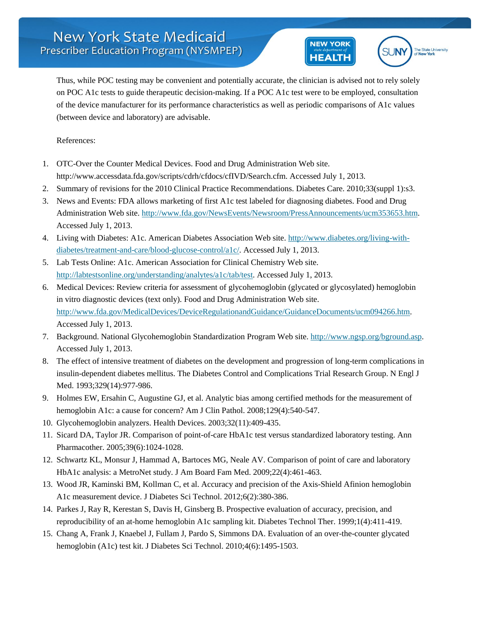



Thus, while POC testing may be convenient and potentially accurate, the clinician is advised not to rely solely on POC A1c tests to guide therapeutic decision-making. If a POC A1c test were to be employed, consultation of the device manufacturer for its performance characteristics as well as periodic comparisons of A1c values (between device and laboratory) are advisable.

References:

- 1. OTC-Over the Counter Medical Devices. Food and Drug Administration Web site. http://www.accessdata.fda.gov/scripts/cdrh/cfdocs/cfIVD/Search.cfm. Accessed July 1, 2013.
- 2. Summary of revisions for the 2010 Clinical Practice Recommendations. Diabetes Care. 2010;33(suppl 1):s3.
- 3. News and Events: FDA allows marketing of first A1c test labeled for diagnosing diabetes. Food and Drug Administration Web site. [http://www.fda.gov/NewsEvents/Newsroom/PressAnnouncements/ucm353653.htm.](http://www.fda.gov/NewsEvents/Newsroom/PressAnnouncements/ucm353653.htm) Accessed July 1, 2013.
- 4. Living with Diabetes: A1c. American Diabetes Association Web site. [http://www.diabetes.org/living-with](http://www.diabetes.org/living-with-diabetes/treatment-and-care/blood-glucose-control/a1c/)[diabetes/treatment-and-care/blood-glucose-control/a1c/.](http://www.diabetes.org/living-with-diabetes/treatment-and-care/blood-glucose-control/a1c/) Accessed July 1, 2013.
- 5. Lab Tests Online: A1c. American Association for Clinical Chemistry Web site. [http://labtestsonline.org/understanding/analytes/a1c/tab/test.](http://labtestsonline.org/understanding/analytes/a1c/tab/test) Accessed July 1, 2013.
- 6. Medical Devices: Review criteria for assessment of glycohemoglobin (glycated or glycosylated) hemoglobin in vitro diagnostic devices (text only). Food and Drug Administration Web site. [http://www.fda.gov/MedicalDevices/DeviceRegulationandGuidance/GuidanceDocuments/ucm094266.htm.](http://www.fda.gov/MedicalDevices/DeviceRegulationandGuidance/GuidanceDocuments/ucm094266.htm) Accessed July 1, 2013.
- 7. Background. National Glycohemoglobin Standardization Program Web site. [http://www.ngsp.org/bground.asp.](http://www.ngsp.org/bground.asp) Accessed July 1, 2013.
- 8. The effect of intensive treatment of diabetes on the development and progression of long-term complications in insulin-dependent diabetes mellitus. The Diabetes Control and Complications Trial Research Group. N Engl J Med. 1993;329(14):977-986.
- 9. Holmes EW, Ersahin C, Augustine GJ, et al. Analytic bias among certified methods for the measurement of hemoglobin A1c: a cause for concern? Am J Clin Pathol. 2008;129(4):540-547.
- 10. Glycohemoglobin analyzers. Health Devices. 2003;32(11):409-435.
- 11. Sicard DA, Taylor JR. Comparison of point-of-care HbA1c test versus standardized laboratory testing. Ann Pharmacother. 2005;39(6):1024-1028.
- 12. Schwartz KL, Monsur J, Hammad A, Bartoces MG, Neale AV. Comparison of point of care and laboratory HbA1c analysis: a MetroNet study. J Am Board Fam Med. 2009;22(4):461-463.
- 13. Wood JR, Kaminski BM, Kollman C, et al. Accuracy and precision of the Axis-Shield Afinion hemoglobin A1c measurement device. J Diabetes Sci Technol. 2012;6(2):380-386.
- 14. Parkes J, Ray R, Kerestan S, Davis H, Ginsberg B. Prospective evaluation of accuracy, precision, and reproducibility of an at-home hemoglobin A1c sampling kit. Diabetes Technol Ther. 1999;1(4):411-419.
- 15. Chang A, Frank J, Knaebel J, Fullam J, Pardo S, Simmons DA. Evaluation of an over-the-counter glycated hemoglobin (A1c) test kit. J Diabetes Sci Technol. 2010;4(6):1495-1503.